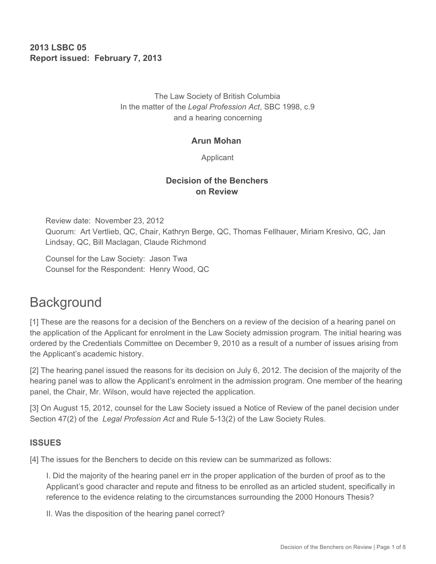**2013 LSBC 05 Report issued: February 7, 2013** 

> The Law Society of British Columbia In the matter of the *Legal Profession Act*, SBC 1998, c.9 and a hearing concerning

#### **Arun Mohan**

Applicant

### **Decision of the Benchers on Review**

Review date: November 23, 2012 Quorum: Art Vertlieb, QC, Chair, Kathryn Berge, QC, Thomas Fellhauer, Miriam Kresivo, QC, Jan Lindsay, QC, Bill Maclagan, Claude Richmond

Counsel for the Law Society: Jason Twa Counsel for the Respondent: Henry Wood, QC

# **Background**

[1] These are the reasons for a decision of the Benchers on a review of the decision of a hearing panel on the application of the Applicant for enrolment in the Law Society admission program. The initial hearing was ordered by the Credentials Committee on December 9, 2010 as a result of a number of issues arising from the Applicant's academic history.

[2] The hearing panel issued the reasons for its decision on July 6, 2012. The decision of the majority of the hearing panel was to allow the Applicant's enrolment in the admission program. One member of the hearing panel, the Chair, Mr. Wilson, would have rejected the application.

[3] On August 15, 2012, counsel for the Law Society issued a Notice of Review of the panel decision under Section 47(2) of the *Legal Profession Act* and Rule 5-13(2) of the Law Society Rules.

#### **ISSUES**

[4] The issues for the Benchers to decide on this review can be summarized as follows:

I. Did the majority of the hearing panel err in the proper application of the burden of proof as to the Applicant's good character and repute and fitness to be enrolled as an articled student, specifically in reference to the evidence relating to the circumstances surrounding the 2000 Honours Thesis?

II. Was the disposition of the hearing panel correct?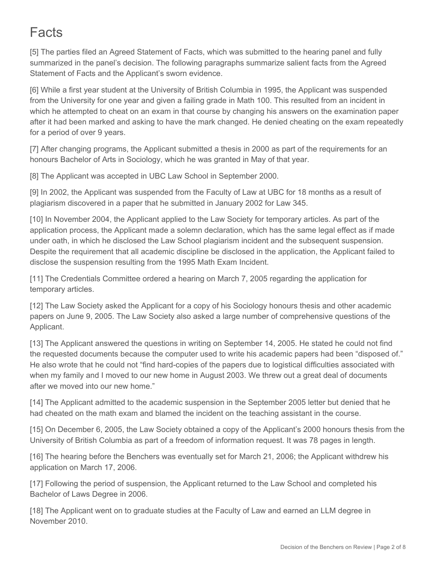# Facts

[5] The parties filed an Agreed Statement of Facts, which was submitted to the hearing panel and fully summarized in the panel's decision. The following paragraphs summarize salient facts from the Agreed Statement of Facts and the Applicant's sworn evidence.

[6] While a first year student at the University of British Columbia in 1995, the Applicant was suspended from the University for one year and given a failing grade in Math 100. This resulted from an incident in which he attempted to cheat on an exam in that course by changing his answers on the examination paper after it had been marked and asking to have the mark changed. He denied cheating on the exam repeatedly for a period of over 9 years.

[7] After changing programs, the Applicant submitted a thesis in 2000 as part of the requirements for an honours Bachelor of Arts in Sociology, which he was granted in May of that year.

[8] The Applicant was accepted in UBC Law School in September 2000.

[9] In 2002, the Applicant was suspended from the Faculty of Law at UBC for 18 months as a result of plagiarism discovered in a paper that he submitted in January 2002 for Law 345.

[10] In November 2004, the Applicant applied to the Law Society for temporary articles. As part of the application process, the Applicant made a solemn declaration, which has the same legal effect as if made under oath, in which he disclosed the Law School plagiarism incident and the subsequent suspension. Despite the requirement that all academic discipline be disclosed in the application, the Applicant failed to disclose the suspension resulting from the 1995 Math Exam Incident.

[11] The Credentials Committee ordered a hearing on March 7, 2005 regarding the application for temporary articles.

[12] The Law Society asked the Applicant for a copy of his Sociology honours thesis and other academic papers on June 9, 2005. The Law Society also asked a large number of comprehensive questions of the Applicant.

[13] The Applicant answered the questions in writing on September 14, 2005. He stated he could not find the requested documents because the computer used to write his academic papers had been "disposed of." He also wrote that he could not "find hard-copies of the papers due to logistical difficulties associated with when my family and I moved to our new home in August 2003. We threw out a great deal of documents after we moved into our new home."

[14] The Applicant admitted to the academic suspension in the September 2005 letter but denied that he had cheated on the math exam and blamed the incident on the teaching assistant in the course.

[15] On December 6, 2005, the Law Society obtained a copy of the Applicant's 2000 honours thesis from the University of British Columbia as part of a freedom of information request. It was 78 pages in length.

[16] The hearing before the Benchers was eventually set for March 21, 2006; the Applicant withdrew his application on March 17, 2006.

[17] Following the period of suspension, the Applicant returned to the Law School and completed his Bachelor of Laws Degree in 2006.

[18] The Applicant went on to graduate studies at the Faculty of Law and earned an LLM degree in November 2010.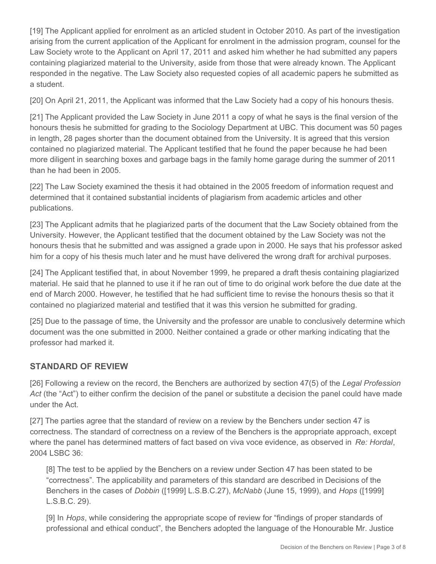[19] The Applicant applied for enrolment as an articled student in October 2010. As part of the investigation arising from the current application of the Applicant for enrolment in the admission program, counsel for the Law Society wrote to the Applicant on April 17, 2011 and asked him whether he had submitted any papers containing plagiarized material to the University, aside from those that were already known. The Applicant responded in the negative. The Law Society also requested copies of all academic papers he submitted as a student.

[20] On April 21, 2011, the Applicant was informed that the Law Society had a copy of his honours thesis.

[21] The Applicant provided the Law Society in June 2011 a copy of what he says is the final version of the honours thesis he submitted for grading to the Sociology Department at UBC. This document was 50 pages in length, 28 pages shorter than the document obtained from the University. It is agreed that this version contained no plagiarized material. The Applicant testified that he found the paper because he had been more diligent in searching boxes and garbage bags in the family home garage during the summer of 2011 than he had been in 2005.

[22] The Law Society examined the thesis it had obtained in the 2005 freedom of information request and determined that it contained substantial incidents of plagiarism from academic articles and other publications.

[23] The Applicant admits that he plagiarized parts of the document that the Law Society obtained from the University. However, the Applicant testified that the document obtained by the Law Society was not the honours thesis that he submitted and was assigned a grade upon in 2000. He says that his professor asked him for a copy of his thesis much later and he must have delivered the wrong draft for archival purposes.

[24] The Applicant testified that, in about November 1999, he prepared a draft thesis containing plagiarized material. He said that he planned to use it if he ran out of time to do original work before the due date at the end of March 2000. However, he testified that he had sufficient time to revise the honours thesis so that it contained no plagiarized material and testified that it was this version he submitted for grading.

[25] Due to the passage of time, the University and the professor are unable to conclusively determine which document was the one submitted in 2000. Neither contained a grade or other marking indicating that the professor had marked it.

# **STANDARD OF REVIEW**

[26] Following a review on the record, the Benchers are authorized by section 47(5) of the *Legal Profession Act* (the "Act") to either confirm the decision of the panel or substitute a decision the panel could have made under the Act.

[27] The parties agree that the standard of review on a review by the Benchers under section 47 is correctness. The standard of correctness on a review of the Benchers is the appropriate approach, except where the panel has determined matters of fact based on viva voce evidence, as observed in *Re: Hordal*, 2004 LSBC 36:

[8] The test to be applied by the Benchers on a review under Section 47 has been stated to be "correctness". The applicability and parameters of this standard are described in Decisions of the Benchers in the cases of *Dobbin* ([1999] L.S.B.C.27), *McNabb* (June 15, 1999), and *Hops* ([1999] L.S.B.C. 29).

[9] In *Hops*, while considering the appropriate scope of review for "findings of proper standards of professional and ethical conduct", the Benchers adopted the language of the Honourable Mr. Justice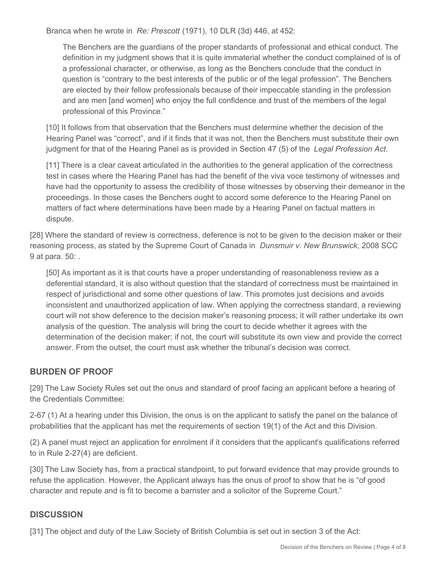Branca when he wrote in *Re: Prescott* (1971), 10 DLR (3d) 446, at 452:

The Benchers are the guardians of the proper standards of professional and ethical conduct. The definition in my judgment shows that it is quite immaterial whether the conduct complained of is of a professional character, or otherwise, as long as the Benchers conclude that the conduct in question is "contrary to the best interests of the public or of the legal profession". The Benchers are elected by their fellow professionals because of their impeccable standing in the profession and are men [and women] who enjoy the full confidence and trust of the members of the legal professional of this Province."

[10] It follows from that observation that the Benchers must determine whether the decision of the Hearing Panel was "correct", and if it finds that it was not, then the Benchers must substitute their own judgment for that of the Hearing Panel as is provided in Section 47 (5) of the *Legal Profession Act*.

[11] There is a clear caveat articulated in the authorities to the general application of the correctness test in cases where the Hearing Panel has had the benefit of the viva voce testimony of witnesses and have had the opportunity to assess the credibility of those witnesses by observing their demeanor in the proceedings. In those cases the Benchers ought to accord some deference to the Hearing Panel on matters of fact where determinations have been made by a Hearing Panel on factual matters in dispute.

[28] Where the standard of review is correctness, deference is not to be given to the decision maker or their reasoning process, as stated by the Supreme Court of Canada in *Dunsmuir v. New Brunswick*, 2008 SCC 9 at para. 50: .

[50] As important as it is that courts have a proper understanding of reasonableness review as a deferential standard, it is also without question that the standard of correctness must be maintained in respect of jurisdictional and some other questions of law. This promotes just decisions and avoids inconsistent and unauthorized application of law. When applying the correctness standard, a reviewing court will not show deference to the decision maker's reasoning process; it will rather undertake its own analysis of the question. The analysis will bring the court to decide whether it agrees with the determination of the decision maker; if not, the court will substitute its own view and provide the correct answer. From the outset, the court must ask whether the tribunal's decision was correct.

#### **BURDEN OF PROOF**

[29] The Law Society Rules set out the onus and standard of proof facing an applicant before a hearing of the Credentials Committee:

2-67 (1) At a hearing under this Division, the onus is on the applicant to satisfy the panel on the balance of probabilities that the applicant has met the requirements of section 19(1) of the Act and this Division.

(2) A panel must reject an application for enrolment if it considers that the applicant's qualifications referred to in Rule 2-27(4) are deficient.

[30] The Law Society has, from a practical standpoint, to put forward evidence that may provide grounds to refuse the application. However, the Applicant always has the onus of proof to show that he is "of good character and repute and is fit to become a barrister and a solicitor of the Supreme Court."

#### **DISCUSSION**

[31] The object and duty of the Law Society of British Columbia is set out in section 3 of the Act: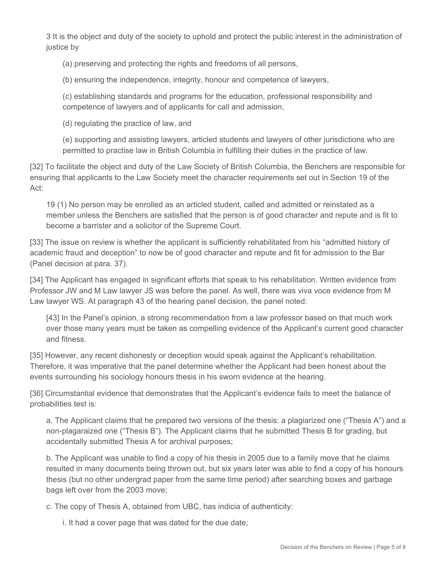3 It is the object and duty of the society to uphold and protect the public interest in the administration of justice by

(a) preserving and protecting the rights and freedoms of all persons,

(b) ensuring the independence, integrity, honour and competence of lawyers,

(c) establishing standards and programs for the education, professional responsibility and competence of lawyers and of applicants for call and admission,

(d) regulating the practice of law, and

(e) supporting and assisting lawyers, articled students and lawyers of other jurisdictions who are permitted to practise law in British Columbia in fulfilling their duties in the practice of law.

[32] To facilitate the object and duty of the Law Society of British Columbia, the Benchers are responsible for ensuring that applicants to the Law Society meet the character requirements set out in Section 19 of the Act:

19 (1) No person may be enrolled as an articled student, called and admitted or reinstated as a member unless the Benchers are satisfied that the person is of good character and repute and is fit to become a barrister and a solicitor of the Supreme Court.

[33] The issue on review is whether the applicant is sufficiently rehabilitated from his "admitted history of academic fraud and deception" to now be of good character and repute and fit for admission to the Bar (Panel decision at para. 37).

[34] The Applicant has engaged in significant efforts that speak to his rehabilitation. Written evidence from Professor JW and M Law lawyer JS was before the panel. As well, there was viva voce evidence from M Law lawyer WS. At paragraph 43 of the hearing panel decision, the panel noted:

[43] In the Panel's opinion, a strong recommendation from a law professor based on that much work over those many years must be taken as compelling evidence of the Applicant's current good character and fitness.

[35] However, any recent dishonesty or deception would speak against the Applicant's rehabilitation. Therefore, it was imperative that the panel determine whether the Applicant had been honest about the events surrounding his sociology honours thesis in his sworn evidence at the hearing.

[36] Circumstantial evidence that demonstrates that the Applicant's evidence fails to meet the balance of probabilities test is:

a. The Applicant claims that he prepared two versions of the thesis: a plagiarized one ("Thesis A") and a non-plagaraized one ("Thesis B"). The Applicant claims that he submitted Thesis B for grading, but accidentally submitted Thesis A for archival purposes;

b. The Applicant was unable to find a copy of his thesis in 2005 due to a family move that he claims resulted in many documents being thrown out, but six years later was able to find a copy of his honours thesis (but no other undergrad paper from the same time period) after searching boxes and garbage bags left over from the 2003 move;

c. The copy of Thesis A, obtained from UBC, has indicia of authenticity:

i. It had a cover page that was dated for the due date;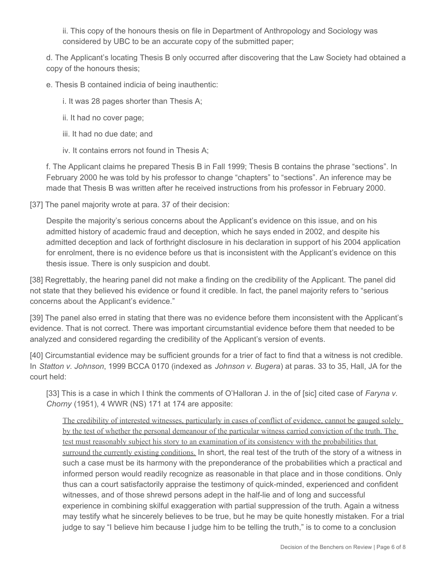ii. This copy of the honours thesis on file in Department of Anthropology and Sociology was considered by UBC to be an accurate copy of the submitted paper;

d. The Applicant's locating Thesis B only occurred after discovering that the Law Society had obtained a copy of the honours thesis;

e. Thesis B contained indicia of being inauthentic:

i. It was 28 pages shorter than Thesis A;

- ii. It had no cover page;
- iii. It had no due date; and
- iv. It contains errors not found in Thesis A;

f. The Applicant claims he prepared Thesis B in Fall 1999; Thesis B contains the phrase "sections". In February 2000 he was told by his professor to change "chapters" to "sections". An inference may be made that Thesis B was written after he received instructions from his professor in February 2000.

[37] The panel majority wrote at para. 37 of their decision:

Despite the majority's serious concerns about the Applicant's evidence on this issue, and on his admitted history of academic fraud and deception, which he says ended in 2002, and despite his admitted deception and lack of forthright disclosure in his declaration in support of his 2004 application for enrolment, there is no evidence before us that is inconsistent with the Applicant's evidence on this thesis issue. There is only suspicion and doubt.

[38] Regrettably, the hearing panel did not make a finding on the credibility of the Applicant. The panel did not state that they believed his evidence or found it credible. In fact, the panel majority refers to "serious concerns about the Applicant's evidence."

[39] The panel also erred in stating that there was no evidence before them inconsistent with the Applicant's evidence. That is not correct. There was important circumstantial evidence before them that needed to be analyzed and considered regarding the credibility of the Applicant's version of events.

[40] Circumstantial evidence may be sufficient grounds for a trier of fact to find that a witness is not credible. In *Statton v. Johnson*, 1999 BCCA 0170 (indexed as *Johnson v. Bugera*) at paras. 33 to 35, Hall, JA for the court held:

[33] This is a case in which I think the comments of O'Halloran J. in the of [sic] cited case of *Faryna v. Chorny* (1951), 4 WWR (NS) 171 at 174 are apposite:

The credibility of interested witnesses, particularly in cases of conflict of evidence, cannot be gauged solely by the test of whether the personal demeanour of the particular witness carried conviction of the truth. The test must reasonably subject his story to an examination of its consistency with the probabilities that surround the currently existing conditions. In short, the real test of the truth of the story of a witness in such a case must be its harmony with the preponderance of the probabilities which a practical and informed person would readily recognize as reasonable in that place and in those conditions. Only thus can a court satisfactorily appraise the testimony of quick-minded, experienced and confident witnesses, and of those shrewd persons adept in the half-lie and of long and successful experience in combining skilful exaggeration with partial suppression of the truth. Again a witness may testify what he sincerely believes to be true, but he may be quite honestly mistaken. For a trial judge to say "I believe him because I judge him to be telling the truth," is to come to a conclusion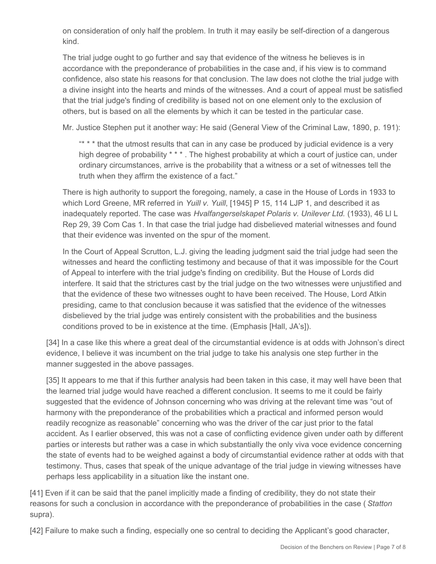on consideration of only half the problem. In truth it may easily be self-direction of a dangerous kind.

The trial judge ought to go further and say that evidence of the witness he believes is in accordance with the preponderance of probabilities in the case and, if his view is to command confidence, also state his reasons for that conclusion. The law does not clothe the trial judge with a divine insight into the hearts and minds of the witnesses. And a court of appeal must be satisfied that the trial judge's finding of credibility is based not on one element only to the exclusion of others, but is based on all the elements by which it can be tested in the particular case.

Mr. Justice Stephen put it another way: He said (General View of the Criminal Law, 1890, p. 191):

"\* \* \* that the utmost results that can in any case be produced by judicial evidence is a very high degree of probability \* \* \*. The highest probability at which a court of justice can, under ordinary circumstances, arrive is the probability that a witness or a set of witnesses tell the truth when they affirm the existence of a fact."

There is high authority to support the foregoing, namely, a case in the House of Lords in 1933 to which Lord Greene, MR referred in *Yuill v. Yuill*, [1945] P 15, 114 LJP 1, and described it as inadequately reported. The case was *Hvalfangerselskapet Polaris v. Unilever Ltd.* (1933), 46 Ll L Rep 29, 39 Com Cas 1. In that case the trial judge had disbelieved material witnesses and found that their evidence was invented on the spur of the moment.

In the Court of Appeal Scrutton, L.J. giving the leading judgment said the trial judge had seen the witnesses and heard the conflicting testimony and because of that it was impossible for the Court of Appeal to interfere with the trial judge's finding on credibility. But the House of Lords did interfere. It said that the strictures cast by the trial judge on the two witnesses were unjustified and that the evidence of these two witnesses ought to have been received. The House, Lord Atkin presiding, came to that conclusion because it was satisfied that the evidence of the witnesses disbelieved by the trial judge was entirely consistent with the probabilities and the business conditions proved to be in existence at the time. (Emphasis [Hall, JA's]).

[34] In a case like this where a great deal of the circumstantial evidence is at odds with Johnson's direct evidence, I believe it was incumbent on the trial judge to take his analysis one step further in the manner suggested in the above passages.

[35] It appears to me that if this further analysis had been taken in this case, it may well have been that the learned trial judge would have reached a different conclusion. It seems to me it could be fairly suggested that the evidence of Johnson concerning who was driving at the relevant time was "out of harmony with the preponderance of the probabilities which a practical and informed person would readily recognize as reasonable" concerning who was the driver of the car just prior to the fatal accident. As I earlier observed, this was not a case of conflicting evidence given under oath by different parties or interests but rather was a case in which substantially the only viva voce evidence concerning the state of events had to be weighed against a body of circumstantial evidence rather at odds with that testimony. Thus, cases that speak of the unique advantage of the trial judge in viewing witnesses have perhaps less applicability in a situation like the instant one.

[41] Even if it can be said that the panel implicitly made a finding of credibility, they do not state their reasons for such a conclusion in accordance with the preponderance of probabilities in the case ( *Statton*  supra).

[42] Failure to make such a finding, especially one so central to deciding the Applicant's good character,